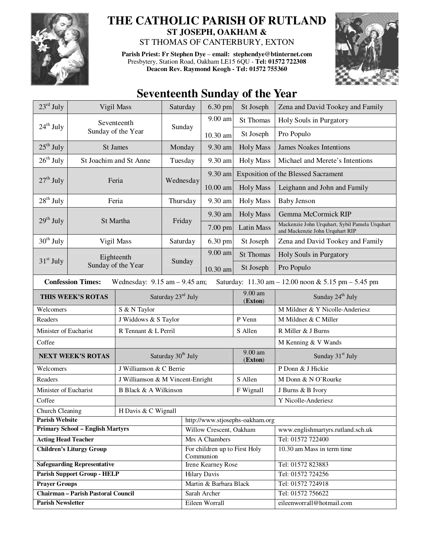

## **THE CATHOLIC PARISH OF RUTLAND ST JOSEPH, OAKHAM &**

ST THOMAS OF CANTERBURY, EXTON

**Parish Priest: Fr Stephen Dye** – **email: stephendye@btinternet.com** Presbytery, Station Road, Oakham LE15 6QU - **Tel: 01572 722308 Deacon Rev. Raymond Keogh - Tel: 01572 755360** 



## **Seventeenth Sunday of the Year**

| $23^{\text{rd}}$ July                                                                                                |                        | Vigil Mass                       | Saturday           | 6.30 pm                                    | St Joseph           | Zena and David Tookey and Family                                                  |  |
|----------------------------------------------------------------------------------------------------------------------|------------------------|----------------------------------|--------------------|--------------------------------------------|---------------------|-----------------------------------------------------------------------------------|--|
|                                                                                                                      | Seventeenth            |                                  |                    | 9.00 am                                    | <b>St Thomas</b>    | Holy Souls in Purgatory                                                           |  |
| $24th$ July                                                                                                          |                        | Sunday of the Year               | Sunday             | 10.30 am                                   | St Joseph           | Pro Populo                                                                        |  |
| $25th$ July                                                                                                          | St James               |                                  | Monday             | 9.30 am                                    | <b>Holy Mass</b>    | <b>James Noakes Intentions</b>                                                    |  |
| $26^{\text{th}}$ July                                                                                                | St Joachim and St Anne |                                  | Tuesday            | 9.30 am                                    | <b>Holy Mass</b>    | Michael and Merete's Intentions                                                   |  |
|                                                                                                                      |                        |                                  | Wednesday          | 9.30 am                                    |                     | <b>Exposition of the Blessed Sacrament</b>                                        |  |
| $27th$ July                                                                                                          |                        | Feria                            |                    | $10.00$ am                                 | <b>Holy Mass</b>    | Leighann and John and Family                                                      |  |
| $28th$ July                                                                                                          | Feria                  |                                  | Thursday           | 9.30 am                                    | <b>Holy Mass</b>    | <b>Baby Jenson</b>                                                                |  |
|                                                                                                                      | St Martha              |                                  | Friday             | 9.30 am                                    | <b>Holy Mass</b>    | Gemma McCormick RIP                                                               |  |
| $29th$ July                                                                                                          |                        |                                  |                    | 7.00 pm                                    | <b>Latin Mass</b>   | Mackenzie John Urquhart, Sybil Pamela Urquhart<br>and Mackenzie John Urquhart RIP |  |
| $30th$ July                                                                                                          |                        | Vigil Mass                       | Saturday           | 6.30 pm                                    | St Joseph           | Zena and David Tookey and Family                                                  |  |
|                                                                                                                      |                        | Eighteenth                       |                    | $9.00$ am                                  | <b>St Thomas</b>    | Holy Souls in Purgatory                                                           |  |
| $31st$ July                                                                                                          | Sunday of the Year     |                                  | Sunday             | 10.30 am                                   | St Joseph           | Pro Populo                                                                        |  |
| <b>Confession Times:</b><br>Saturday: 11.30 am - 12.00 noon & 5.15 pm - 5.45 pm<br>Wednesday: $9.15$ am $- 9.45$ am; |                        |                                  |                    |                                            |                     |                                                                                   |  |
|                                                                                                                      | THIS WEEK'S ROTAS      |                                  | Saturday 23rd July |                                            |                     | Sunday 24 <sup>th</sup> July                                                      |  |
| Welcomers                                                                                                            |                        | S & N Taylor                     |                    |                                            |                     | M Mildner & Y Nicolle-Anderiesz                                                   |  |
| Readers                                                                                                              |                        | J Widdows & S Taylor             |                    |                                            | P Venn              | M Mildner & C Miller                                                              |  |
| Minister of Eucharist                                                                                                |                        | R Tennant & L Perril             |                    |                                            | S Allen             | R Miller & J Burns                                                                |  |
| Coffee                                                                                                               |                        |                                  |                    |                                            |                     | M Kenning & V Wands                                                               |  |
| <b>NEXT WEEK'S ROTAS</b>                                                                                             |                        | Saturday 30 <sup>th</sup> July   |                    |                                            | 9.00 am<br>(Exton)  | Sunday 31 <sup>st</sup> July                                                      |  |
| Welcomers                                                                                                            |                        | J Williamson & C Berrie          |                    |                                            |                     | P Donn & J Hickie                                                                 |  |
| Readers                                                                                                              |                        | J Williamson & M Vincent-Enright |                    |                                            | S Allen             | M Donn & N O'Rourke                                                               |  |
| Minister of Eucharist                                                                                                |                        | B Black & A Wilkinson            |                    |                                            | F Wignall           | J Burns & B Ivory                                                                 |  |
| Coffee                                                                                                               |                        |                                  |                    |                                            | Y Nicolle-Anderiesz |                                                                                   |  |
| <b>Church Cleaning</b><br>H Davis & C Wignall                                                                        |                        |                                  |                    |                                            |                     |                                                                                   |  |
| <b>Parish Website</b><br>http://www.stjosephs-oakham.org                                                             |                        |                                  |                    |                                            |                     |                                                                                   |  |
| <b>Primary School - English Martyrs</b>                                                                              |                        |                                  |                    | Willow Crescent, Oakham                    |                     | www.englishmartyrs.rutland.sch.uk                                                 |  |
| <b>Acting Head Teacher</b>                                                                                           |                        |                                  |                    | Mrs A Chambers                             |                     | Tel: 01572 722400                                                                 |  |
| <b>Children's Liturgy Group</b>                                                                                      |                        |                                  |                    | For children up to First Holy<br>Communion |                     | 10.30 am Mass in term time                                                        |  |
| <b>Safeguarding Representative</b>                                                                                   |                        |                                  |                    | <b>Irene Kearney Rose</b>                  |                     | Tel: 01572 823883                                                                 |  |
| <b>Parish Support Group - HELP</b>                                                                                   |                        |                                  |                    | <b>Hilary Davis</b>                        |                     | Tel: 01572 724256                                                                 |  |
| <b>Prayer Groups</b>                                                                                                 |                        |                                  |                    | Martin & Barbara Black                     |                     | Tel: 01572 724918                                                                 |  |
| <b>Chairman - Parish Pastoral Council</b>                                                                            |                        |                                  |                    | Sarah Archer                               |                     | Tel: 01572 756622                                                                 |  |
| <b>Parish Newsletter</b>                                                                                             |                        |                                  |                    | Eileen Worrall                             |                     | eileenworrall@hotmail.com                                                         |  |